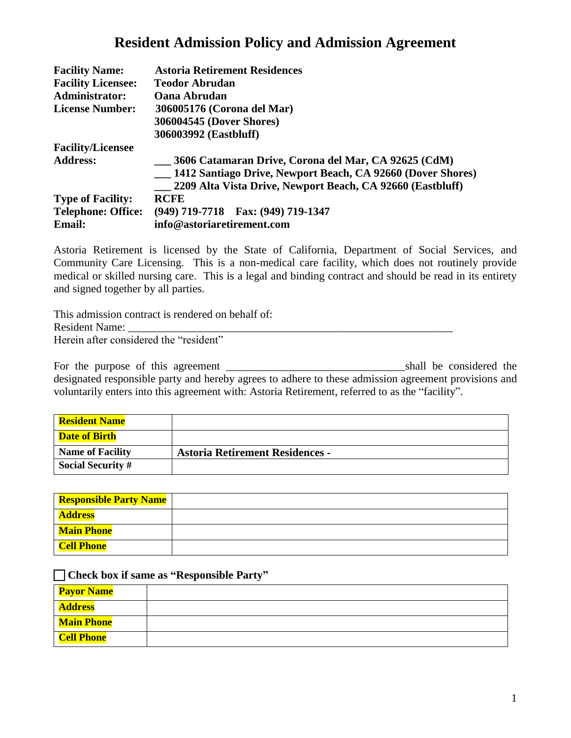# **Resident Admission Policy and Admission Agreement**

| <b>Facility Name:</b>     | <b>Astoria Retirement Residences</b>                        |
|---------------------------|-------------------------------------------------------------|
| <b>Facility Licensee:</b> | <b>Teodor Abrudan</b>                                       |
| Administrator:            | <b>Oana Abrudan</b>                                         |
| <b>License Number:</b>    | 306005176 (Corona del Mar)                                  |
|                           | 306004545 (Dover Shores)                                    |
|                           | 306003992 (Eastbluff)                                       |
| <b>Facility/Licensee</b>  |                                                             |
| <b>Address:</b>           | 3606 Catamaran Drive, Corona del Mar, CA 92625 (CdM)        |
|                           | 1412 Santiago Drive, Newport Beach, CA 92660 (Dover Shores) |
|                           | 2209 Alta Vista Drive, Newport Beach, CA 92660 (Eastbluff)  |
| <b>Type of Facility:</b>  | <b>RCFE</b>                                                 |
| <b>Telephone: Office:</b> | (949) 719-7718 Fax: (949) 719-1347                          |
| <b>Email:</b>             | info@astoriaretirement.com                                  |

Astoria Retirement is licensed by the State of California, Department of Social Services, and Community Care Licensing. This is a non-medical care facility, which does not routinely provide medical or skilled nursing care. This is a legal and binding contract and should be read in its entirety and signed together by all parties.

This admission contract is rendered on behalf of: Resident Name: Herein after considered the "resident"

For the purpose of this agreement \_\_\_\_\_\_\_\_\_\_\_\_\_\_\_\_\_\_\_\_\_\_\_\_\_\_\_\_\_\_\_\_shall be considered the designated responsible party and hereby agrees to adhere to these admission agreement provisions and voluntarily enters into this agreement with: Astoria Retirement, referred to as the "facility".

| <b>Resident Name</b>     |                                        |
|--------------------------|----------------------------------------|
| <b>Date of Birth</b>     |                                        |
| <b>Name of Facility</b>  | <b>Astoria Retirement Residences -</b> |
| <b>Social Security #</b> |                                        |

| <b>Responsible Party Name</b> |  |
|-------------------------------|--|
| <b>Address</b>                |  |
| <b>Main Phone</b>             |  |
| Cell Phone                    |  |

#### **Check box if same as "Responsible Party"**

| <b>Payor Name</b> |  |
|-------------------|--|
| <b>Address</b>    |  |
| Main Phone        |  |
| <b>Cell Phone</b> |  |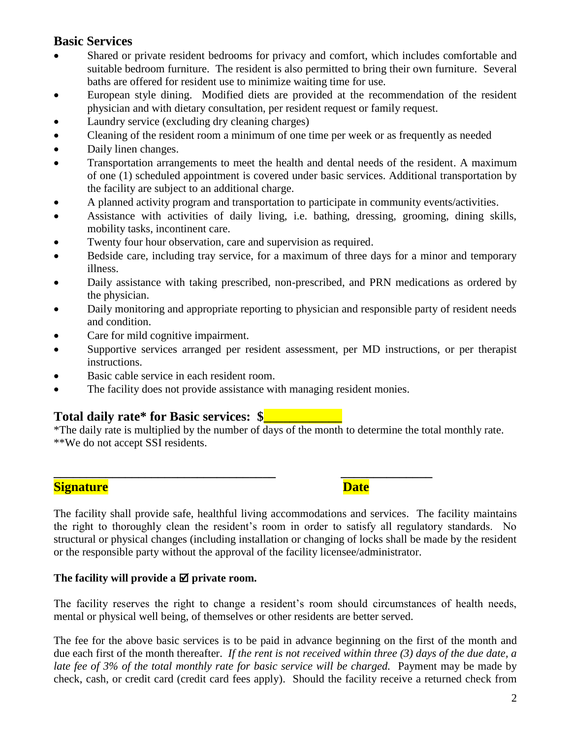### **Basic Services**

- Shared or private resident bedrooms for privacy and comfort, which includes comfortable and suitable bedroom furniture. The resident is also permitted to bring their own furniture. Several baths are offered for resident use to minimize waiting time for use.
- European style dining. Modified diets are provided at the recommendation of the resident physician and with dietary consultation, per resident request or family request.
- Laundry service (excluding dry cleaning charges)
- Cleaning of the resident room a minimum of one time per week or as frequently as needed
- Daily linen changes.
- Transportation arrangements to meet the health and dental needs of the resident. A maximum of one (1) scheduled appointment is covered under basic services. Additional transportation by the facility are subject to an additional charge.
- A planned activity program and transportation to participate in community events/activities.
- Assistance with activities of daily living, i.e. bathing, dressing, grooming, dining skills, mobility tasks, incontinent care.
- Twenty four hour observation, care and supervision as required.
- Bedside care, including tray service, for a maximum of three days for a minor and temporary illness.
- Daily assistance with taking prescribed, non-prescribed, and PRN medications as ordered by the physician.
- Daily monitoring and appropriate reporting to physician and responsible party of resident needs and condition.
- Care for mild cognitive impairment.
- Supportive services arranged per resident assessment, per MD instructions, or per therapist instructions.
- Basic cable service in each resident room.
- The facility does not provide assistance with managing resident monies.

**\_\_\_\_\_\_\_\_\_\_\_\_\_\_\_\_\_\_\_\_\_\_\_\_\_\_\_\_\_\_\_\_\_\_ \_\_\_\_\_\_\_\_\_\_\_\_\_\_**

## **Total daily rate\* for Basic services: \$\_\_\_\_\_\_\_\_\_\_\_\_**

\*The daily rate is multiplied by the number of days of the month to determine the total monthly rate. \*\*We do not accept SSI residents.

### **Signature** Date **Date**

The facility shall provide safe, healthful living accommodations and services. The facility maintains the right to thoroughly clean the resident's room in order to satisfy all regulatory standards. No structural or physical changes (including installation or changing of locks shall be made by the resident or the responsible party without the approval of the facility licensee/administrator.

### The facility will provide a  $\boxtimes$  private room.

The facility reserves the right to change a resident's room should circumstances of health needs, mental or physical well being, of themselves or other residents are better served.

The fee for the above basic services is to be paid in advance beginning on the first of the month and due each first of the month thereafter. *If the rent is not received within three (3) days of the due date, a*  late fee of 3% of the total monthly rate for basic service will be charged. Payment may be made by check, cash, or credit card (credit card fees apply). Should the facility receive a returned check from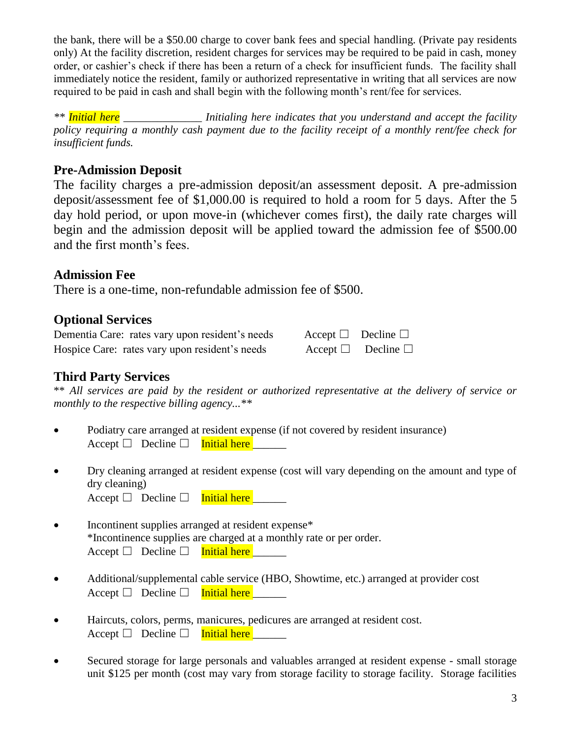the bank, there will be a \$50.00 charge to cover bank fees and special handling. (Private pay residents only) At the facility discretion, resident charges for services may be required to be paid in cash, money order, or cashier's check if there has been a return of a check for insufficient funds. The facility shall immediately notice the resident, family or authorized representative in writing that all services are now required to be paid in cash and shall begin with the following month's rent/fee for services.

*\*\* Initial here \_\_\_\_\_\_\_\_\_\_\_\_\_\_ Initialing here indicates that you understand and accept the facility policy requiring a monthly cash payment due to the facility receipt of a monthly rent/fee check for insufficient funds.*

# **Pre-Admission Deposit**

The facility charges a pre-admission deposit/an assessment deposit. A pre-admission deposit/assessment fee of \$1,000.00 is required to hold a room for 5 days. After the 5 day hold period, or upon move-in (whichever comes first), the daily rate charges will begin and the admission deposit will be applied toward the admission fee of \$500.00 and the first month's fees.

## **Admission Fee**

There is a one-time, non-refundable admission fee of \$500.

# **Optional Services**

| Dementia Care: rates vary upon resident's needs | $\text{Accept} \quad \Box$ Decline $\Box$ |
|-------------------------------------------------|-------------------------------------------|
| Hospice Care: rates vary upon resident's needs  | $\text{Accept } \Box$ Decline $\Box$      |

# **Third Party Services**

\*\* *All services are paid by the resident or authorized representative at the delivery of service or monthly to the respective billing agency...\*\**

- Podiatry care arranged at resident expense (if not covered by resident insurance) Accept  $\Box$  Decline  $\Box$  Initial here
- Dry cleaning arranged at resident expense (cost will vary depending on the amount and type of dry cleaning) Accept  $\Box$  Decline  $\Box$  Initial here
- Incontinent supplies arranged at resident expense\* \*Incontinence supplies are charged at a monthly rate or per order.  $\text{Accept} \Box$  Decline  $\Box$  Initial here
- Additional/supplemental cable service (HBO, Showtime, etc.) arranged at provider cost Accept  $\Box$  Decline  $\Box$  Initial here
- Haircuts, colors, perms, manicures, pedicures are arranged at resident cost. Accept  $\Box$  Decline  $\Box$  Initial here
- Secured storage for large personals and valuables arranged at resident expense small storage unit \$125 per month (cost may vary from storage facility to storage facility. Storage facilities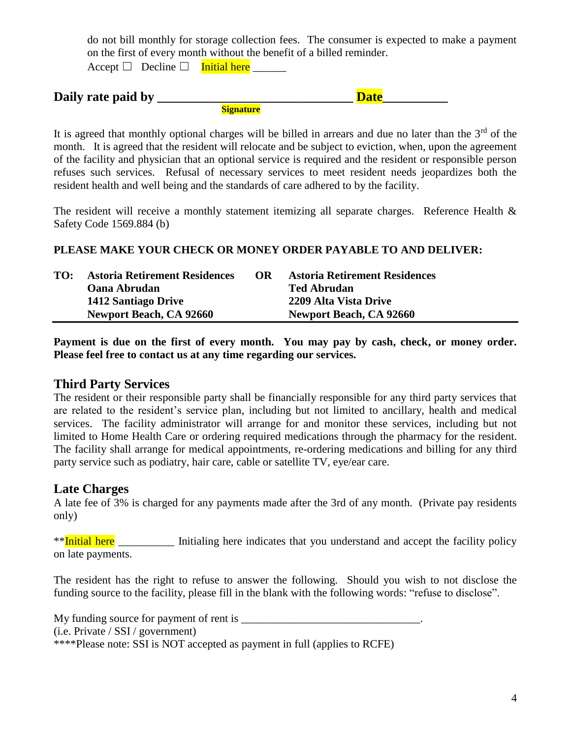do not bill monthly for storage collection fees. The consumer is expected to make a payment on the first of every month without the benefit of a billed reminder.

Accept  $\Box$  Decline  $\Box$  Initial here

| Daily rate paid by |           | Date |  |
|--------------------|-----------|------|--|
|                    | Signature |      |  |

It is agreed that monthly optional charges will be billed in arrears and due no later than the  $3<sup>rd</sup>$  of the month. It is agreed that the resident will relocate and be subject to eviction, when, upon the agreement of the facility and physician that an optional service is required and the resident or responsible person refuses such services. Refusal of necessary services to meet resident needs jeopardizes both the resident health and well being and the standards of care adhered to by the facility.

The resident will receive a monthly statement itemizing all separate charges. Reference Health  $\&$ Safety Code 1569.884 (b)

#### **PLEASE MAKE YOUR CHECK OR MONEY ORDER PAYABLE TO AND DELIVER:**

| TO: | <b>Astoria Retirement Residences</b> | OR | <b>Astoria Retirement Residences</b> |
|-----|--------------------------------------|----|--------------------------------------|
|     | <b>Oana Abrudan</b>                  |    | <b>Ted Abrudan</b>                   |
|     | 1412 Santiago Drive                  |    | 2209 Alta Vista Drive                |
|     | Newport Beach, CA 92660              |    | <b>Newport Beach, CA 92660</b>       |

**Payment is due on the first of every month. You may pay by cash, check, or money order. Please feel free to contact us at any time regarding our services.**

#### **Third Party Services**

The resident or their responsible party shall be financially responsible for any third party services that are related to the resident's service plan, including but not limited to ancillary, health and medical services. The facility administrator will arrange for and monitor these services, including but not limited to Home Health Care or ordering required medications through the pharmacy for the resident. The facility shall arrange for medical appointments, re-ordering medications and billing for any third party service such as podiatry, hair care, cable or satellite TV, eye/ear care.

### **Late Charges**

A late fee of 3% is charged for any payments made after the 3rd of any month. (Private pay residents only)

\*\*Initial here Initialing here indicates that you understand and accept the facility policy on late payments.

The resident has the right to refuse to answer the following. Should you wish to not disclose the funding source to the facility, please fill in the blank with the following words: "refuse to disclose".

My funding source for payment of rent is \_\_\_\_\_\_\_\_\_\_\_\_\_\_\_\_\_\_\_\_\_\_\_\_\_\_\_\_\_\_\_\_. (i.e. Private / SSI / government) \*\*\*\*Please note: SSI is NOT accepted as payment in full (applies to RCFE)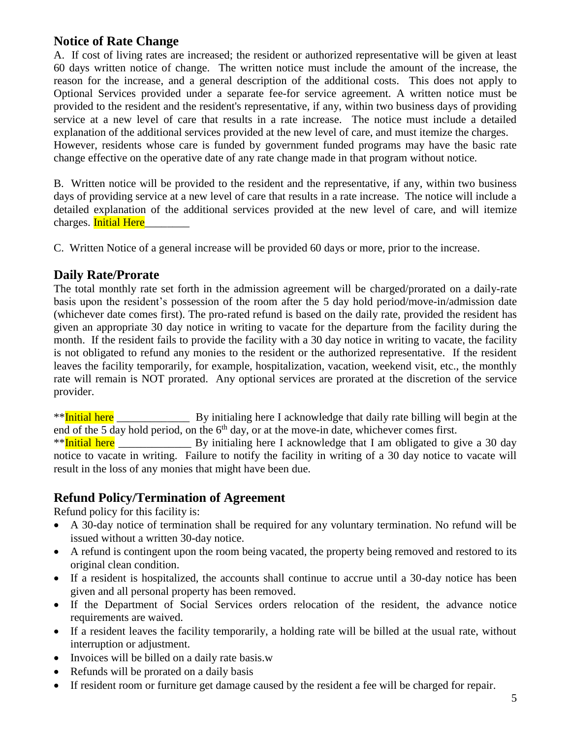## **Notice of Rate Change**

A. If cost of living rates are increased; the resident or authorized representative will be given at least 60 days written notice of change. The written notice must include the amount of the increase, the reason for the increase, and a general description of the additional costs. This does not apply to Optional Services provided under a separate fee-for service agreement. A written notice must be provided to the resident and the resident's representative, if any, within two business days of providing service at a new level of care that results in a rate increase. The notice must include a detailed explanation of the additional services provided at the new level of care, and must itemize the charges. However, residents whose care is funded by government funded programs may have the basic rate change effective on the operative date of any rate change made in that program without notice.

B. Written notice will be provided to the resident and the representative, if any, within two business days of providing service at a new level of care that results in a rate increase. The notice will include a detailed explanation of the additional services provided at the new level of care, and will itemize charges. Initial Here

C. Written Notice of a general increase will be provided 60 days or more, prior to the increase.

### **Daily Rate/Prorate**

The total monthly rate set forth in the admission agreement will be charged/prorated on a daily-rate basis upon the resident's possession of the room after the 5 day hold period/move-in/admission date (whichever date comes first). The pro-rated refund is based on the daily rate, provided the resident has given an appropriate 30 day notice in writing to vacate for the departure from the facility during the month. If the resident fails to provide the facility with a 30 day notice in writing to vacate, the facility is not obligated to refund any monies to the resident or the authorized representative. If the resident leaves the facility temporarily, for example, hospitalization, vacation, weekend visit, etc., the monthly rate will remain is NOT prorated. Any optional services are prorated at the discretion of the service provider.

\*\*Initial here  $\mu$  By initialing here I acknowledge that daily rate billing will begin at the end of the 5 day hold period, on the  $6<sup>th</sup>$  day, or at the move-in date, whichever comes first.

\*\*Initial here **By** initialing here I acknowledge that I am obligated to give a 30 day notice to vacate in writing. Failure to notify the facility in writing of a 30 day notice to vacate will result in the loss of any monies that might have been due.

## **Refund Policy/Termination of Agreement**

Refund policy for this facility is:

- A 30-day notice of termination shall be required for any voluntary termination. No refund will be issued without a written 30-day notice.
- A refund is contingent upon the room being vacated, the property being removed and restored to its original clean condition.
- If a resident is hospitalized, the accounts shall continue to accrue until a 30-day notice has been given and all personal property has been removed.
- If the Department of Social Services orders relocation of the resident, the advance notice requirements are waived.
- If a resident leaves the facility temporarily, a holding rate will be billed at the usual rate, without interruption or adjustment.
- Invoices will be billed on a daily rate basis.w
- Refunds will be prorated on a daily basis
- If resident room or furniture get damage caused by the resident a fee will be charged for repair.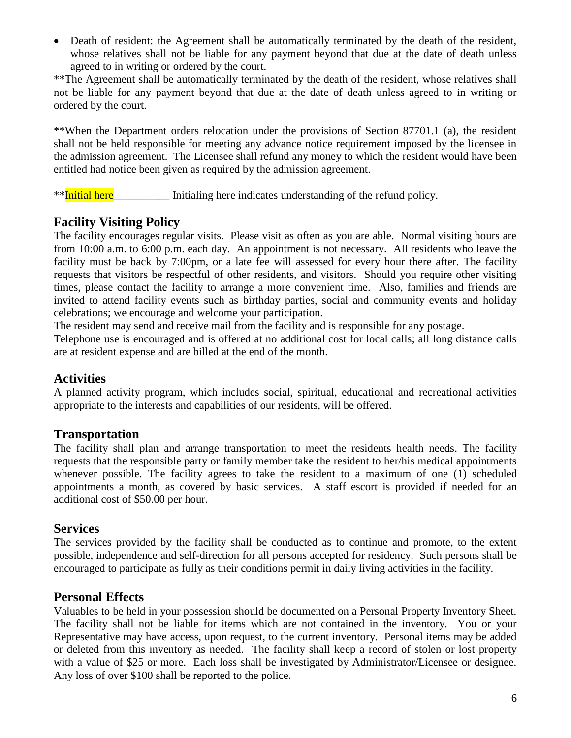• Death of resident: the Agreement shall be automatically terminated by the death of the resident, whose relatives shall not be liable for any payment beyond that due at the date of death unless agreed to in writing or ordered by the court.

\*\*The Agreement shall be automatically terminated by the death of the resident, whose relatives shall not be liable for any payment beyond that due at the date of death unless agreed to in writing or ordered by the court.

\*\*When the Department orders relocation under the provisions of Section 87701.1 (a), the resident shall not be held responsible for meeting any advance notice requirement imposed by the licensee in the admission agreement. The Licensee shall refund any money to which the resident would have been entitled had notice been given as required by the admission agreement.

\*\*Initial here Initialing here indicates understanding of the refund policy.

# **Facility Visiting Policy**

The facility encourages regular visits. Please visit as often as you are able. Normal visiting hours are from 10:00 a.m. to 6:00 p.m. each day. An appointment is not necessary. All residents who leave the facility must be back by 7:00pm, or a late fee will assessed for every hour there after. The facility requests that visitors be respectful of other residents, and visitors. Should you require other visiting times, please contact the facility to arrange a more convenient time. Also, families and friends are invited to attend facility events such as birthday parties, social and community events and holiday celebrations; we encourage and welcome your participation.

The resident may send and receive mail from the facility and is responsible for any postage.

Telephone use is encouraged and is offered at no additional cost for local calls; all long distance calls are at resident expense and are billed at the end of the month.

## **Activities**

A planned activity program, which includes social, spiritual, educational and recreational activities appropriate to the interests and capabilities of our residents, will be offered.

## **Transportation**

The facility shall plan and arrange transportation to meet the residents health needs. The facility requests that the responsible party or family member take the resident to her/his medical appointments whenever possible. The facility agrees to take the resident to a maximum of one (1) scheduled appointments a month, as covered by basic services. A staff escort is provided if needed for an additional cost of \$50.00 per hour.

### **Services**

The services provided by the facility shall be conducted as to continue and promote, to the extent possible, independence and self-direction for all persons accepted for residency. Such persons shall be encouraged to participate as fully as their conditions permit in daily living activities in the facility.

## **Personal Effects**

Valuables to be held in your possession should be documented on a Personal Property Inventory Sheet. The facility shall not be liable for items which are not contained in the inventory. You or your Representative may have access, upon request, to the current inventory. Personal items may be added or deleted from this inventory as needed. The facility shall keep a record of stolen or lost property with a value of \$25 or more. Each loss shall be investigated by Administrator/Licensee or designee. Any loss of over \$100 shall be reported to the police.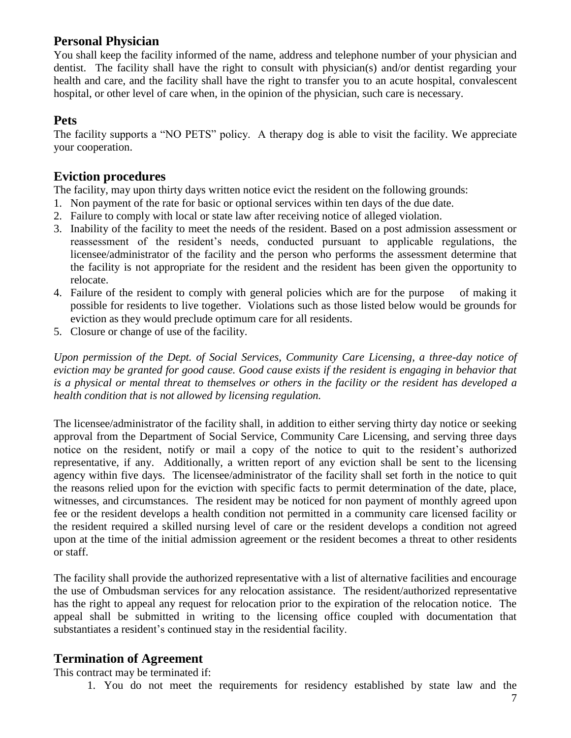## **Personal Physician**

You shall keep the facility informed of the name, address and telephone number of your physician and dentist. The facility shall have the right to consult with physician(s) and/or dentist regarding your health and care, and the facility shall have the right to transfer you to an acute hospital, convalescent hospital, or other level of care when, in the opinion of the physician, such care is necessary.

### **Pets**

The facility supports a "NO PETS" policy. A therapy dog is able to visit the facility. We appreciate your cooperation.

## **Eviction procedures**

The facility, may upon thirty days written notice evict the resident on the following grounds:

- 1. Non payment of the rate for basic or optional services within ten days of the due date.
- 2. Failure to comply with local or state law after receiving notice of alleged violation.
- 3. Inability of the facility to meet the needs of the resident. Based on a post admission assessment or reassessment of the resident's needs, conducted pursuant to applicable regulations, the licensee/administrator of the facility and the person who performs the assessment determine that the facility is not appropriate for the resident and the resident has been given the opportunity to relocate.
- 4. Failure of the resident to comply with general policies which are for the purpose of making it possible for residents to live together. Violations such as those listed below would be grounds for eviction as they would preclude optimum care for all residents.
- 5. Closure or change of use of the facility.

*Upon permission of the Dept. of Social Services, Community Care Licensing, a three-day notice of eviction may be granted for good cause. Good cause exists if the resident is engaging in behavior that is a physical or mental threat to themselves or others in the facility or the resident has developed a health condition that is not allowed by licensing regulation.*

The licensee/administrator of the facility shall, in addition to either serving thirty day notice or seeking approval from the Department of Social Service, Community Care Licensing, and serving three days notice on the resident, notify or mail a copy of the notice to quit to the resident's authorized representative, if any. Additionally, a written report of any eviction shall be sent to the licensing agency within five days. The licensee/administrator of the facility shall set forth in the notice to quit the reasons relied upon for the eviction with specific facts to permit determination of the date, place, witnesses, and circumstances. The resident may be noticed for non payment of monthly agreed upon fee or the resident develops a health condition not permitted in a community care licensed facility or the resident required a skilled nursing level of care or the resident develops a condition not agreed upon at the time of the initial admission agreement or the resident becomes a threat to other residents or staff.

The facility shall provide the authorized representative with a list of alternative facilities and encourage the use of Ombudsman services for any relocation assistance. The resident/authorized representative has the right to appeal any request for relocation prior to the expiration of the relocation notice. The appeal shall be submitted in writing to the licensing office coupled with documentation that substantiates a resident's continued stay in the residential facility.

## **Termination of Agreement**

This contract may be terminated if:

1. You do not meet the requirements for residency established by state law and the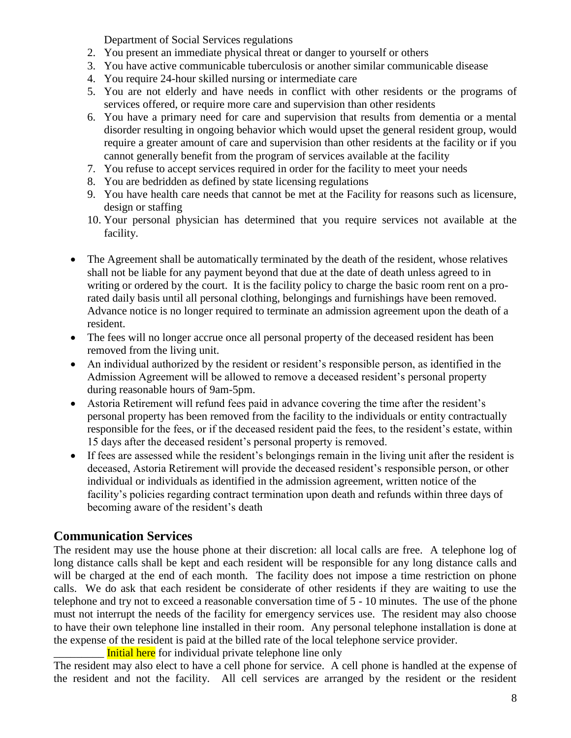Department of Social Services regulations

- 2. You present an immediate physical threat or danger to yourself or others
- 3. You have active communicable tuberculosis or another similar communicable disease
- 4. You require 24-hour skilled nursing or intermediate care
- 5. You are not elderly and have needs in conflict with other residents or the programs of services offered, or require more care and supervision than other residents
- 6. You have a primary need for care and supervision that results from dementia or a mental disorder resulting in ongoing behavior which would upset the general resident group, would require a greater amount of care and supervision than other residents at the facility or if you cannot generally benefit from the program of services available at the facility
- 7. You refuse to accept services required in order for the facility to meet your needs
- 8. You are bedridden as defined by state licensing regulations
- 9. You have health care needs that cannot be met at the Facility for reasons such as licensure, design or staffing
- 10. Your personal physician has determined that you require services not available at the facility.
- The Agreement shall be automatically terminated by the death of the resident, whose relatives shall not be liable for any payment beyond that due at the date of death unless agreed to in writing or ordered by the court. It is the facility policy to charge the basic room rent on a prorated daily basis until all personal clothing, belongings and furnishings have been removed. Advance notice is no longer required to terminate an admission agreement upon the death of a resident.
- The fees will no longer accrue once all personal property of the deceased resident has been removed from the living unit.
- An individual authorized by the resident or resident's responsible person, as identified in the Admission Agreement will be allowed to remove a deceased resident's personal property during reasonable hours of 9am-5pm.
- Astoria Retirement will refund fees paid in advance covering the time after the resident's personal property has been removed from the facility to the individuals or entity contractually responsible for the fees, or if the deceased resident paid the fees, to the resident's estate, within 15 days after the deceased resident's personal property is removed.
- If fees are assessed while the resident's belongings remain in the living unit after the resident is deceased, Astoria Retirement will provide the deceased resident's responsible person, or other individual or individuals as identified in the admission agreement, written notice of the facility's policies regarding contract termination upon death and refunds within three days of becoming aware of the resident's death

## **Communication Services**

The resident may use the house phone at their discretion: all local calls are free. A telephone log of long distance calls shall be kept and each resident will be responsible for any long distance calls and will be charged at the end of each month. The facility does not impose a time restriction on phone calls. We do ask that each resident be considerate of other residents if they are waiting to use the telephone and try not to exceed a reasonable conversation time of 5 - 10 minutes. The use of the phone must not interrupt the needs of the facility for emergency services use. The resident may also choose to have their own telephone line installed in their room. Any personal telephone installation is done at the expense of the resident is paid at the billed rate of the local telephone service provider.

Initial here for individual private telephone line only

The resident may also elect to have a cell phone for service. A cell phone is handled at the expense of the resident and not the facility. All cell services are arranged by the resident or the resident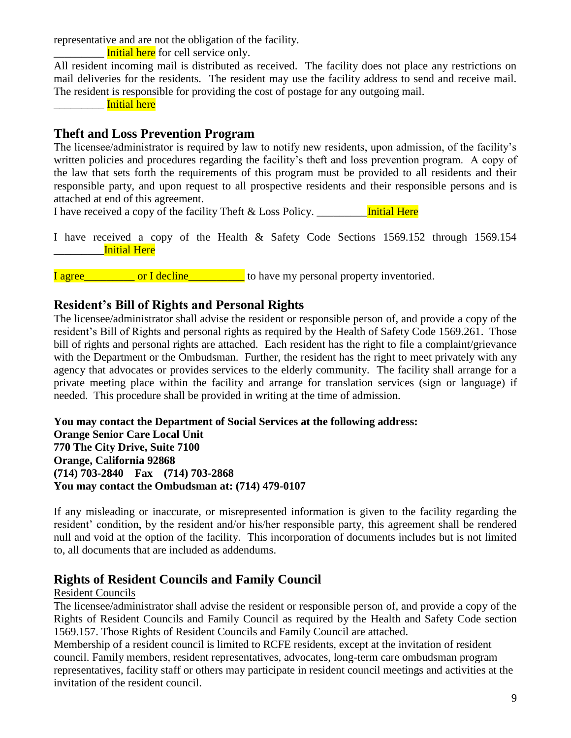representative and are not the obligation of the facility.

Initial here for cell service only.

All resident incoming mail is distributed as received. The facility does not place any restrictions on mail deliveries for the residents. The resident may use the facility address to send and receive mail. The resident is responsible for providing the cost of postage for any outgoing mail.

\_\_\_\_\_\_\_\_\_ Initial here

## **Theft and Loss Prevention Program**

The licensee/administrator is required by law to notify new residents, upon admission, of the facility's written policies and procedures regarding the facility's theft and loss prevention program. A copy of the law that sets forth the requirements of this program must be provided to all residents and their responsible party, and upon request to all prospective residents and their responsible persons and is attached at end of this agreement.

I have received a copy of the facility Theft & Loss Policy. **Initial Here** 

I have received a copy of the Health & Safety Code Sections 1569.152 through 1569.154 \_\_\_\_\_\_\_\_\_Initial Here

I agree\_\_\_\_\_\_\_\_\_ or I decline\_\_\_\_\_\_\_\_\_\_ to have my personal property inventoried.

### **Resident's Bill of Rights and Personal Rights**

The licensee/administrator shall advise the resident or responsible person of, and provide a copy of the resident's Bill of Rights and personal rights as required by the Health of Safety Code 1569.261. Those bill of rights and personal rights are attached. Each resident has the right to file a complaint/grievance with the Department or the Ombudsman. Further, the resident has the right to meet privately with any agency that advocates or provides services to the elderly community. The facility shall arrange for a private meeting place within the facility and arrange for translation services (sign or language) if needed. This procedure shall be provided in writing at the time of admission.

**You may contact the Department of Social Services at the following address: Orange Senior Care Local Unit 770 The City Drive, Suite 7100 Orange, California 92868 (714) 703-2840 Fax (714) 703-2868 You may contact the Ombudsman at: (714) 479-0107** 

If any misleading or inaccurate, or misrepresented information is given to the facility regarding the resident' condition, by the resident and/or his/her responsible party, this agreement shall be rendered null and void at the option of the facility. This incorporation of documents includes but is not limited to, all documents that are included as addendums.

## **Rights of Resident Councils and Family Council**

#### Resident Councils

The licensee/administrator shall advise the resident or responsible person of, and provide a copy of the Rights of Resident Councils and Family Council as required by the Health and Safety Code section 1569.157. Those Rights of Resident Councils and Family Council are attached.

Membership of a resident council is limited to RCFE residents, except at the invitation of resident council. Family members, resident representatives, advocates, long-term care ombudsman program representatives, facility staff or others may participate in resident council meetings and activities at the invitation of the resident council.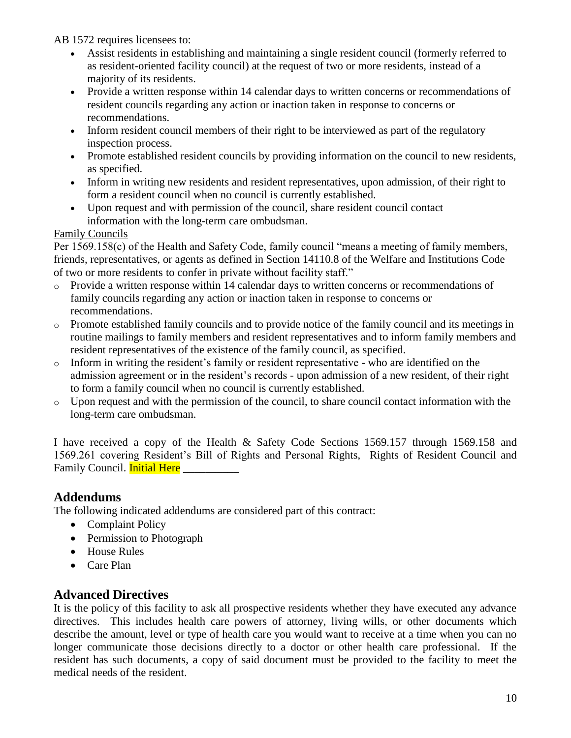AB 1572 requires licensees to:

- Assist residents in establishing and maintaining a single resident council (formerly referred to as resident-oriented facility council) at the request of two or more residents, instead of a majority of its residents.
- Provide a written response within 14 calendar days to written concerns or recommendations of resident councils regarding any action or inaction taken in response to concerns or recommendations.
- Inform resident council members of their right to be interviewed as part of the regulatory inspection process.
- Promote established resident councils by providing information on the council to new residents, as specified.
- Inform in writing new residents and resident representatives, upon admission, of their right to form a resident council when no council is currently established.
- Upon request and with permission of the council, share resident council contact information with the long-term care ombudsman.

#### Family Councils

Per 1569.158(c) of the Health and Safety Code, family council "means a meeting of family members, friends, representatives, or agents as defined in Section 14110.8 of the Welfare and Institutions Code of two or more residents to confer in private without facility staff."

- o Provide a written response within 14 calendar days to written concerns or recommendations of family councils regarding any action or inaction taken in response to concerns or recommendations.
- o Promote established family councils and to provide notice of the family council and its meetings in routine mailings to family members and resident representatives and to inform family members and resident representatives of the existence of the family council, as specified.
- o Inform in writing the resident's family or resident representative who are identified on the admission agreement or in the resident's records - upon admission of a new resident, of their right to form a family council when no council is currently established.
- o Upon request and with the permission of the council, to share council contact information with the long-term care ombudsman.

I have received a copy of the Health & Safety Code Sections 1569.157 through 1569.158 and 1569.261 covering Resident's Bill of Rights and Personal Rights, Rights of Resident Council and Family Council. **Initial Here** 

## **Addendums**

The following indicated addendums are considered part of this contract:

- Complaint Policy
- Permission to Photograph
- House Rules
- Care Plan

## **Advanced Directives**

It is the policy of this facility to ask all prospective residents whether they have executed any advance directives. This includes health care powers of attorney, living wills, or other documents which describe the amount, level or type of health care you would want to receive at a time when you can no longer communicate those decisions directly to a doctor or other health care professional. If the resident has such documents, a copy of said document must be provided to the facility to meet the medical needs of the resident.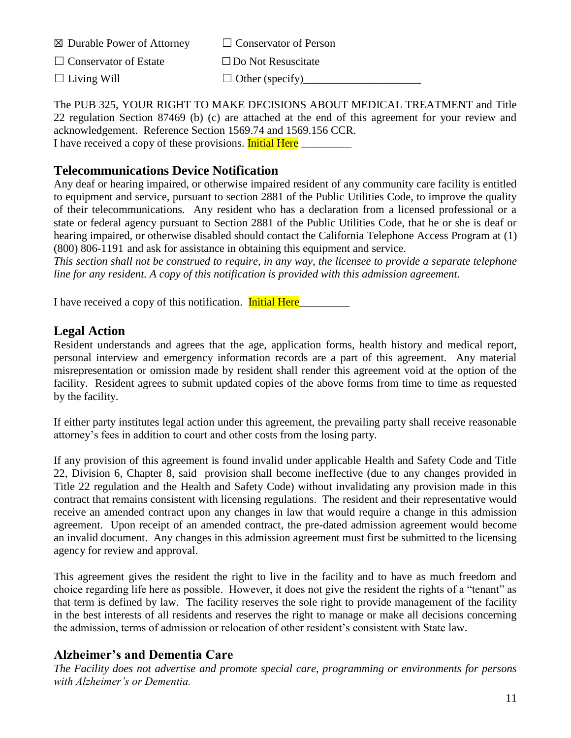| $\boxtimes$ Durable Power of Attorney | $\Box$ Conservator of Person |
|---------------------------------------|------------------------------|
| $\Box$ Conservator of Estate          | $\Box$ Do Not Resuscitate    |
| $\Box$ Living Will                    | $\Box$ Other (specify)       |

The PUB 325, YOUR RIGHT TO MAKE DECISIONS ABOUT MEDICAL TREATMENT and Title 22 regulation Section 87469 (b) (c) are attached at the end of this agreement for your review and acknowledgement. Reference Section 1569.74 and 1569.156 CCR. I have received a copy of these provisions. Initial Here

## **Telecommunications Device Notification**

Any deaf or hearing impaired, or otherwise impaired resident of any community care facility is entitled to equipment and service, pursuant to section 2881 of the Public Utilities Code, to improve the quality of their telecommunications. Any resident who has a declaration from a licensed professional or a state or federal agency pursuant to Section 2881 of the Public Utilities Code, that he or she is deaf or hearing impaired, or otherwise disabled should contact the California Telephone Access Program at (1) (800) 806-1191 and ask for assistance in obtaining this equipment and service.

*This section shall not be construed to require, in any way, the licensee to provide a separate telephone line for any resident. A copy of this notification is provided with this admission agreement.*

I have received a copy of this notification. Initial Here

### **Legal Action**

Resident understands and agrees that the age, application forms, health history and medical report, personal interview and emergency information records are a part of this agreement. Any material misrepresentation or omission made by resident shall render this agreement void at the option of the facility. Resident agrees to submit updated copies of the above forms from time to time as requested by the facility.

If either party institutes legal action under this agreement, the prevailing party shall receive reasonable attorney's fees in addition to court and other costs from the losing party.

If any provision of this agreement is found invalid under applicable Health and Safety Code and Title 22, Division 6, Chapter 8, said provision shall become ineffective (due to any changes provided in Title 22 regulation and the Health and Safety Code) without invalidating any provision made in this contract that remains consistent with licensing regulations. The resident and their representative would receive an amended contract upon any changes in law that would require a change in this admission agreement. Upon receipt of an amended contract, the pre-dated admission agreement would become an invalid document. Any changes in this admission agreement must first be submitted to the licensing agency for review and approval.

This agreement gives the resident the right to live in the facility and to have as much freedom and choice regarding life here as possible. However, it does not give the resident the rights of a "tenant" as that term is defined by law. The facility reserves the sole right to provide management of the facility in the best interests of all residents and reserves the right to manage or make all decisions concerning the admission, terms of admission or relocation of other resident's consistent with State law.

## **Alzheimer's and Dementia Care**

*The Facility does not advertise and promote special care, programming or environments for persons with Alzheimer's or Dementia.*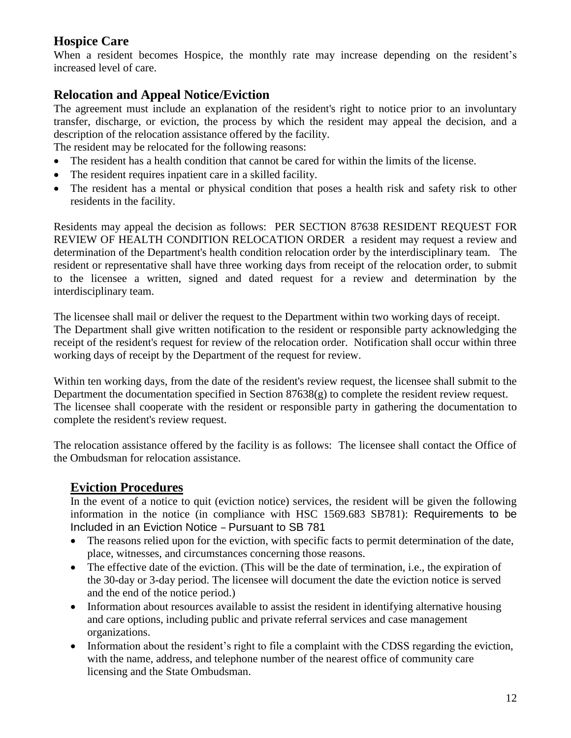# **Hospice Care**

When a resident becomes Hospice, the monthly rate may increase depending on the resident's increased level of care.

# **Relocation and Appeal Notice/Eviction**

The agreement must include an explanation of the resident's right to notice prior to an involuntary transfer, discharge, or eviction, the process by which the resident may appeal the decision, and a description of the relocation assistance offered by the facility.

The resident may be relocated for the following reasons:

- The resident has a health condition that cannot be cared for within the limits of the license.
- The resident requires inpatient care in a skilled facility.
- The resident has a mental or physical condition that poses a health risk and safety risk to other residents in the facility.

Residents may appeal the decision as follows: PER SECTION 87638 RESIDENT REQUEST FOR REVIEW OF HEALTH CONDITION RELOCATION ORDER a resident may request a review and determination of the Department's health condition relocation order by the interdisciplinary team. The resident or representative shall have three working days from receipt of the relocation order, to submit to the licensee a written, signed and dated request for a review and determination by the interdisciplinary team.

The licensee shall mail or deliver the request to the Department within two working days of receipt. The Department shall give written notification to the resident or responsible party acknowledging the receipt of the resident's request for review of the relocation order. Notification shall occur within three working days of receipt by the Department of the request for review.

Within ten working days, from the date of the resident's review request, the licensee shall submit to the Department the documentation specified in Section 87638(g) to complete the resident review request. The licensee shall cooperate with the resident or responsible party in gathering the documentation to complete the resident's review request.

The relocation assistance offered by the facility is as follows: The licensee shall contact the Office of the Ombudsman for relocation assistance.

# **Eviction Procedures**

In the event of a notice to quit (eviction notice) services, the resident will be given the following information in the notice (in compliance with HSC 1569.683 SB781): Requirements to be Included in an Eviction Notice – Pursuant to SB 781

- The reasons relied upon for the eviction, with specific facts to permit determination of the date, place, witnesses, and circumstances concerning those reasons.
- The effective date of the eviction. (This will be the date of termination, i.e., the expiration of the 30-day or 3-day period. The licensee will document the date the eviction notice is served and the end of the notice period.)
- Information about resources available to assist the resident in identifying alternative housing and care options, including public and private referral services and case management organizations.
- Information about the resident's right to file a complaint with the CDSS regarding the eviction, with the name, address, and telephone number of the nearest office of community care licensing and the State Ombudsman.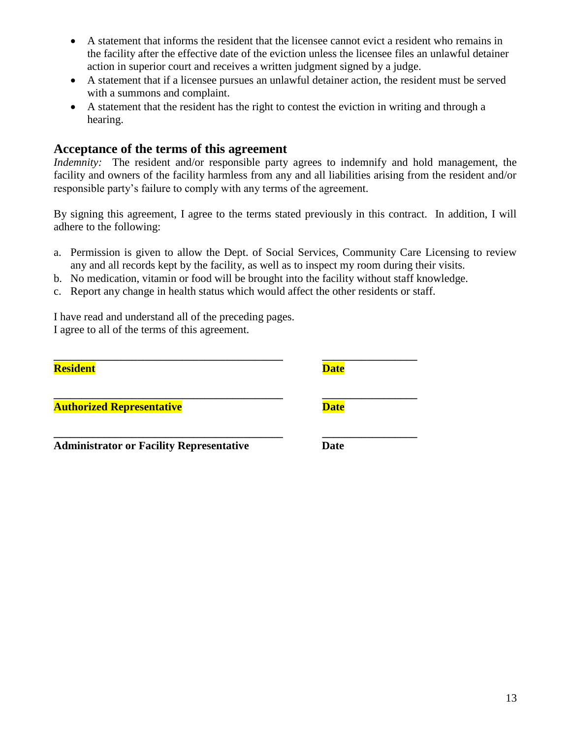- A statement that informs the resident that the licensee cannot evict a resident who remains in the facility after the effective date of the eviction unless the licensee files an unlawful detainer action in superior court and receives a written judgment signed by a judge.
- A statement that if a licensee pursues an unlawful detainer action, the resident must be served with a summons and complaint.
- A statement that the resident has the right to contest the eviction in writing and through a hearing.

#### **Acceptance of the terms of this agreement**

*Indemnity:* The resident and/or responsible party agrees to indemnify and hold management, the facility and owners of the facility harmless from any and all liabilities arising from the resident and/or responsible party's failure to comply with any terms of the agreement.

By signing this agreement, I agree to the terms stated previously in this contract. In addition, I will adhere to the following:

- a. Permission is given to allow the Dept. of Social Services, Community Care Licensing to review any and all records kept by the facility, as well as to inspect my room during their visits.
- b. No medication, vitamin or food will be brought into the facility without staff knowledge.
- c. Report any change in health status which would affect the other residents or staff.

I have read and understand all of the preceding pages. I agree to all of the terms of this agreement.

| <b>Resident</b>                                 | <b>Date</b> |  |
|-------------------------------------------------|-------------|--|
| <b>Authorized Representative</b>                | <b>Date</b> |  |
| <b>Administrator or Facility Representative</b> | <b>Date</b> |  |